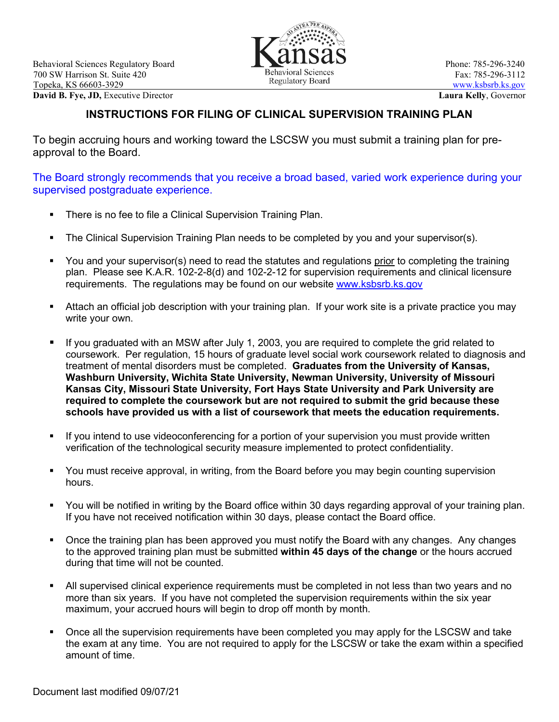

## **INSTRUCTIONS FOR FILING OF CLINICAL SUPERVISION TRAINING PLAN**

To begin accruing hours and working toward the LSCSW you must submit a training plan for preapproval to the Board.

The Board strongly recommends that you receive a broad based, varied work experience during your supervised postgraduate experience.

- There is no fee to file a Clinical Supervision Training Plan.
- The Clinical Supervision Training Plan needs to be completed by you and your supervisor(s).
- You and your supervisor(s) need to read the statutes and regulations prior to completing the training plan. Please see K.A.R. 102-2-8(d) and 102-2-12 for supervision requirements and clinical licensure requirements. The regulations may be found on our website [www.ksbsrb.ks.gov](http://www.ksbsrb.ks.gov/)
- Attach an official job description with your training plan. If your work site is a private practice you may write your own.
- If you graduated with an MSW after July 1, 2003, you are required to complete the grid related to coursework. Per regulation, 15 hours of graduate level social work coursework related to diagnosis and treatment of mental disorders must be completed. **Graduates from the University of Kansas, Washburn University, Wichita State University, Newman University, University of Missouri Kansas City, Missouri State University, Fort Hays State University and Park University are required to complete the coursework but are not required to submit the grid because these schools have provided us with a list of coursework that meets the education requirements.**
- If you intend to use videoconferencing for a portion of your supervision you must provide written verification of the technological security measure implemented to protect confidentiality.
- You must receive approval, in writing, from the Board before you may begin counting supervision hours.
- You will be notified in writing by the Board office within 30 days regarding approval of your training plan. If you have not received notification within 30 days, please contact the Board office.
- Once the training plan has been approved you must notify the Board with any changes. Any changes to the approved training plan must be submitted **within 45 days of the change** or the hours accrued during that time will not be counted.
- All supervised clinical experience requirements must be completed in not less than two years and no more than six years. If you have not completed the supervision requirements within the six year maximum, your accrued hours will begin to drop off month by month.
- Once all the supervision requirements have been completed you may apply for the LSCSW and take the exam at any time. You are not required to apply for the LSCSW or take the exam within a specified amount of time.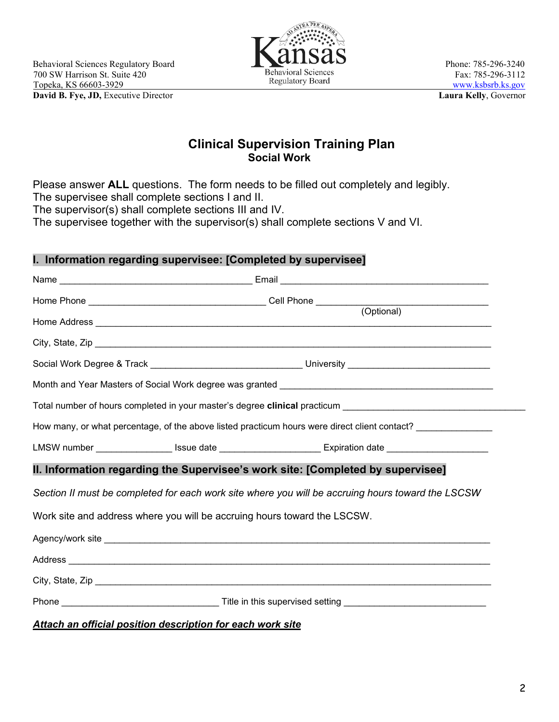

# **Clinical Supervision Training Plan Social Work**

Please answer **ALL** questions. The form needs to be filled out completely and legibly. The supervisee shall complete sections I and II.

The supervisor(s) shall complete sections III and IV.

The supervisee together with the supervisor(s) shall complete sections V and VI.

## **I. Information regarding supervisee: [Completed by supervisee]**

| Total number of hours completed in your master's degree clinical practicum ___________________________________ |  |                                                                                                                |  |  |  |  |
|----------------------------------------------------------------------------------------------------------------|--|----------------------------------------------------------------------------------------------------------------|--|--|--|--|
|                                                                                                                |  | How many, or what percentage, of the above listed practicum hours were direct client contact? _______________  |  |  |  |  |
|                                                                                                                |  | LMSW number ____________________ Issue date _____________________________Expiration date _____________________ |  |  |  |  |
| II. Information regarding the Supervisee's work site: [Completed by supervisee]                                |  |                                                                                                                |  |  |  |  |
| Section II must be completed for each work site where you will be accruing hours toward the LSCSW              |  |                                                                                                                |  |  |  |  |
| Work site and address where you will be accruing hours toward the LSCSW.                                       |  |                                                                                                                |  |  |  |  |
|                                                                                                                |  |                                                                                                                |  |  |  |  |
|                                                                                                                |  |                                                                                                                |  |  |  |  |
|                                                                                                                |  |                                                                                                                |  |  |  |  |
|                                                                                                                |  |                                                                                                                |  |  |  |  |

#### *Attach an official position description for each work site*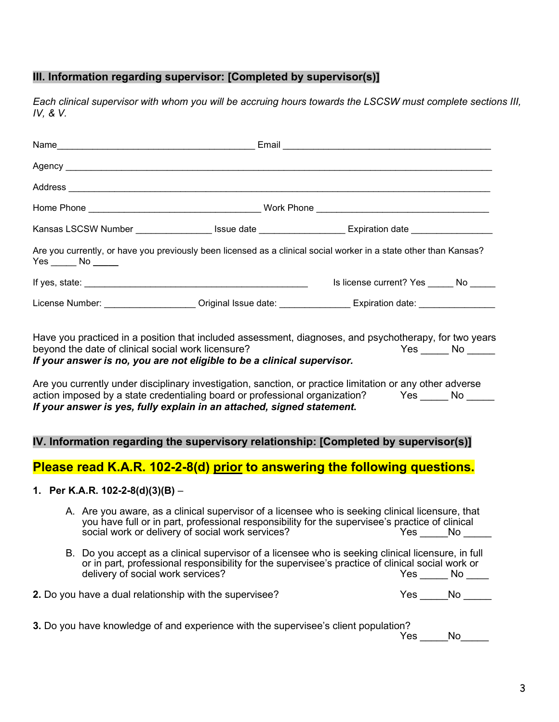## **III. Information regarding supervisor: [Completed by supervisor(s)]**

*Each clinical supervisor with whom you will be accruing hours towards the LSCSW must complete sections III, IV, & V.*

|                                                                                                               |                                                    | Kansas LSCSW Number __________________ Issue date ___________________Expiration date _______________                                                                                                                             |                                                                                                                                                                                                                                                      |  |
|---------------------------------------------------------------------------------------------------------------|----------------------------------------------------|----------------------------------------------------------------------------------------------------------------------------------------------------------------------------------------------------------------------------------|------------------------------------------------------------------------------------------------------------------------------------------------------------------------------------------------------------------------------------------------------|--|
|                                                                                                               | $Yes$ No $\_\_$                                    |                                                                                                                                                                                                                                  | Are you currently, or have you previously been licensed as a clinical social worker in a state other than Kansas?                                                                                                                                    |  |
|                                                                                                               |                                                    |                                                                                                                                                                                                                                  | Is license current? Yes ______ No _____                                                                                                                                                                                                              |  |
| License Number: ______________________Original Issue date: ________________Expiration date: _________________ |                                                    |                                                                                                                                                                                                                                  |                                                                                                                                                                                                                                                      |  |
|                                                                                                               | beyond the date of clinical social work licensure? | If your answer is no, you are not eligible to be a clinical supervisor.<br>action imposed by a state credentialing board or professional organization?<br>If your answer is yes, fully explain in an attached, signed statement. | $Yes \_\_\_ No \_\_\_$<br>Are you currently under disciplinary investigation, sanction, or practice limitation or any other adverse<br>Yes _______ No ______<br>IV. Information regarding the supervisory relationship: [Completed by supervisor(s)] |  |
|                                                                                                               |                                                    |                                                                                                                                                                                                                                  | Please read K.A.R. 102-2-8(d) prior to answering the following questions.                                                                                                                                                                            |  |
|                                                                                                               | 1. Per K.A.R. 102-2-8(d)(3)(B) –                   |                                                                                                                                                                                                                                  |                                                                                                                                                                                                                                                      |  |
|                                                                                                               |                                                    | social work or delivery of social work services?                                                                                                                                                                                 | A. Are you aware, as a clinical supervisor of a licensee who is seeking clinical licensure, that<br>you have full or in part, professional responsibility for the supervisee's practice of clinical<br>Yes ______No ______                           |  |
|                                                                                                               | delivery of social work services?                  |                                                                                                                                                                                                                                  | B. Do you accept as a clinical supervisor of a licensee who is seeking clinical licensure, in full<br>or in part, professional responsibility for the supervisee's practice of clinical social work or<br>$Yes \_\_ No \_\_$                         |  |
|                                                                                                               |                                                    | 2. Do you have a dual relationship with the supervisee?                                                                                                                                                                          | $Yes \_\_No \_\_$                                                                                                                                                                                                                                    |  |
|                                                                                                               |                                                    | 3. Do you have knowledge of and experience with the supervisee's client population?                                                                                                                                              |                                                                                                                                                                                                                                                      |  |

Yes \_\_\_\_\_No\_\_\_\_\_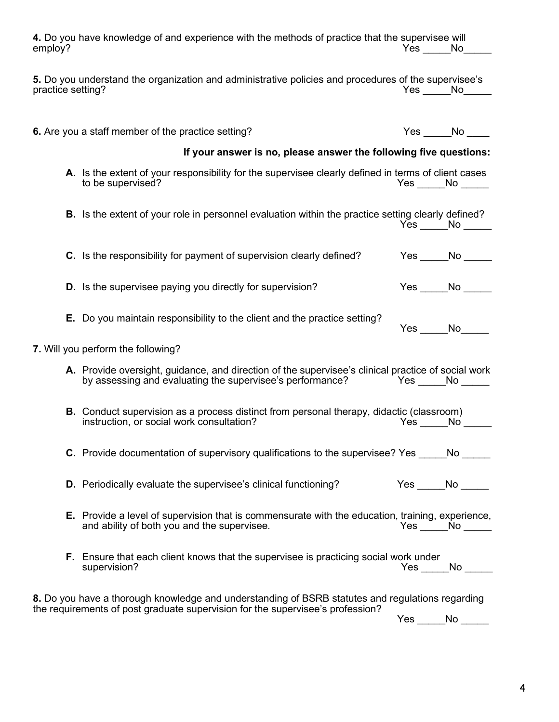| employ?           | 4. Do you have knowledge of and experience with the methods of practice that the supervisee will                                                                                                          |                 | Yes No            |
|-------------------|-----------------------------------------------------------------------------------------------------------------------------------------------------------------------------------------------------------|-----------------|-------------------|
| practice setting? | 5. Do you understand the organization and administrative policies and procedures of the supervisee's                                                                                                      | Yes No          |                   |
|                   | 6. Are you a staff member of the practice setting?                                                                                                                                                        |                 | $Yes \_\_No \_\_$ |
|                   | If your answer is no, please answer the following five questions:                                                                                                                                         |                 |                   |
|                   | A. Is the extent of your responsibility for the supervisee clearly defined in terms of client cases<br>to be supervised?                                                                                  | $Yes$ No $\_\_$ |                   |
|                   | B. Is the extent of your role in personnel evaluation within the practice setting clearly defined?                                                                                                        |                 | Yes No            |
|                   | C. Is the responsibility for payment of supervision clearly defined?                                                                                                                                      |                 | $Yes \_\_No \_\_$ |
|                   | <b>D.</b> Is the supervisee paying you directly for supervision?                                                                                                                                          |                 | $Yes \_\_No \_\_$ |
|                   | <b>E.</b> Do you maintain responsibility to the client and the practice setting?                                                                                                                          | Yes No          |                   |
|                   | 7. Will you perform the following?                                                                                                                                                                        |                 |                   |
|                   | A. Provide oversight, guidance, and direction of the supervisee's clinical practice of social work<br>by assessing and evaluating the supervisee's performance? The State Morecan North Morecan North Ave |                 |                   |
|                   | <b>B.</b> Conduct supervision as a process distinct from personal therapy, didactic (classroom)<br>instruction, or social work consultation?                                                              |                 | Yes No            |
|                   | <b>C.</b> Provide documentation of supervisory qualifications to the supervisee? Yes No                                                                                                                   |                 |                   |
|                   | <b>D.</b> Periodically evaluate the supervisee's clinical functioning?                                                                                                                                    | $Yes$ No $\_\_$ |                   |
|                   | <b>E.</b> Provide a level of supervision that is commensurate with the education, training, experience,<br>and ability of both you and the supervisee.                                                    |                 | Yes No            |
|                   | <b>F.</b> Ensure that each client knows that the supervisee is practicing social work under<br>supervision?                                                                                               |                 | $Yes \_\_No \_\_$ |
|                   | 8. Do you have a thorough knowledge and understanding of BSRB statutes and regulations regarding<br>the requirements of post graduate supervision for the supervisee's profession?                        |                 |                   |
|                   |                                                                                                                                                                                                           | Yes             | No                |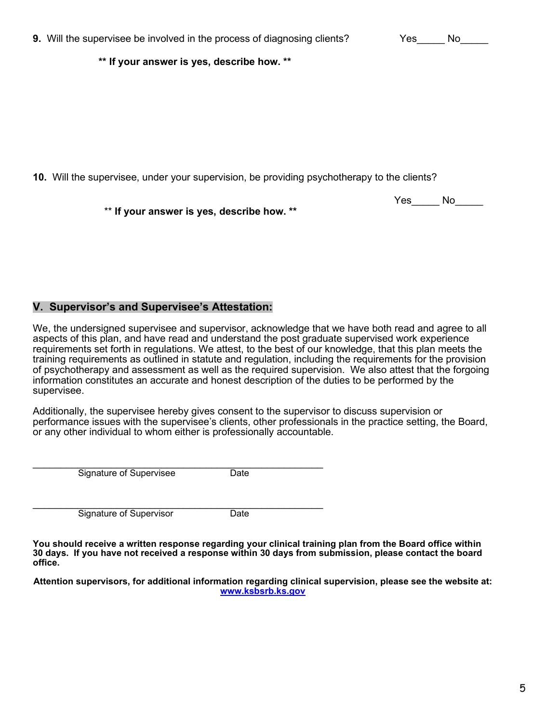| 9. Will the supervisee be involved in the process of diagnosing clients? |  |  | Yes | - No |
|--------------------------------------------------------------------------|--|--|-----|------|
|                                                                          |  |  |     |      |

**\*\* If your answer is yes, describe how. \*\***

**10.** Will the supervisee, under your supervision, be providing psychotherapy to the clients?

\*\* **If your answer is yes, describe how. \*\***

#### **V. Supervisor's and Supervisee's Attestation:**

We, the undersigned supervisee and supervisor, acknowledge that we have both read and agree to all aspects of this plan, and have read and understand the post graduate supervised work experience requirements set forth in regulations. We attest, to the best of our knowledge, that this plan meets the training requirements as outlined in statute and regulation, including the requirements for the provision of psychotherapy and assessment as well as the required supervision. We also attest that the forgoing information constitutes an accurate and honest description of the duties to be performed by the supervisee.

Additionally, the supervisee hereby gives consent to the supervisor to discuss supervision or performance issues with the supervisee's clients, other professionals in the practice setting, the Board, or any other individual to whom either is professionally accountable.

\_\_\_\_\_\_\_\_\_\_\_\_\_\_\_\_\_\_\_\_\_\_\_\_\_\_\_\_\_\_\_\_\_\_\_\_\_\_\_\_\_\_\_\_\_\_\_\_\_\_\_\_ Signature of Supervisee Date

Signature of Supervisor Date

**You should receive a written response regarding your clinical training plan from the Board office within 30 days. If you have not received a response within 30 days from submission, please contact the board office.**

**Attention supervisors, for additional information regarding clinical supervision, please see the website at: [www.ksbsrb.ks.gov](http://www.ksbsrb.org/)**

Yes\_\_\_\_\_ No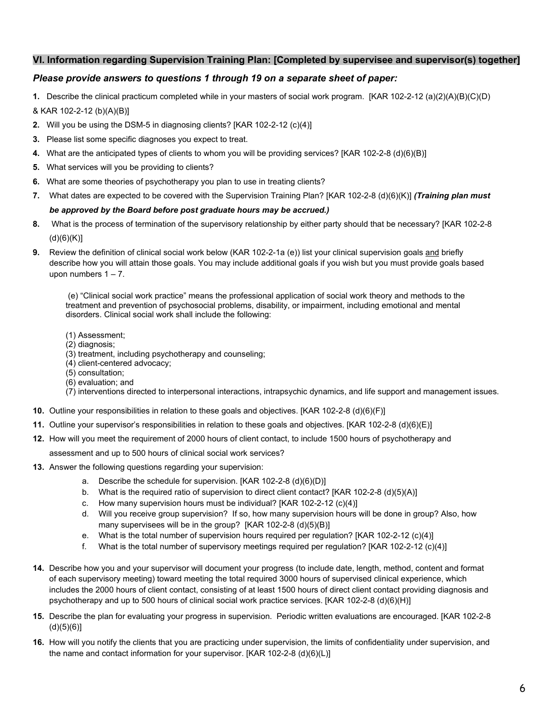#### **VI. Information regarding Supervision Training Plan: [Completed by supervisee and supervisor(s) together]**

#### *Please provide answers to questions 1 through 19 on a separate sheet of paper:*

**1.** Describe the clinical practicum completed while in your masters of social work program. [KAR 102-2-12 (a)(2)(A)(B)(C)(D) & KAR 102-2-12 (b)(A)(B)]

- **2.** Will you be using the DSM-5 in diagnosing clients? [KAR 102-2-12 (c)(4)]
- **3.** Please list some specific diagnoses you expect to treat.
- **4.** What are the anticipated types of clients to whom you will be providing services? [KAR 102-2-8 (d)(6)(B)]
- **5.** What services will you be providing to clients?
- **6.** What are some theories of psychotherapy you plan to use in treating clients?
- **7.** What dates are expected to be covered with the Supervision Training Plan? [KAR 102-2-8 (d)(6)(K)] *(Training plan must be approved by the Board before post graduate hours may be accrued.)*
- **8.** What is the process of termination of the supervisory relationship by either party should that be necessary? [KAR 102-2-8  $(d)(6)(K)$ ]
- **9.** Review the definition of clinical social work below (KAR 102-2-1a (e)) list your clinical supervision goals and briefly describe how you will attain those goals. You may include additional goals if you wish but you must provide goals based upon numbers  $1 - 7$ .

(e) "Clinical social work practice" means the professional application of social work theory and methods to the treatment and prevention of psychosocial problems, disability, or impairment, including emotional and mental disorders. Clinical social work shall include the following:

- (1) Assessment;
- (2) diagnosis;
- (3) treatment, including psychotherapy and counseling;
- (4) client-centered advocacy;
- (5) consultation;
- (6) evaluation; and
- (7) interventions directed to interpersonal interactions, intrapsychic dynamics, and life support and management issues.
- **10.** Outline your responsibilities in relation to these goals and objectives. [KAR 102-2-8 (d)(6)(F)]
- **11.** Outline your supervisor's responsibilities in relation to these goals and objectives. [KAR 102-2-8 (d)(6)(E)]
- **12.** How will you meet the requirement of 2000 hours of client contact, to include 1500 hours of psychotherapy and
	- assessment and up to 500 hours of clinical social work services?
- **13.** Answer the following questions regarding your supervision:
	- a. Describe the schedule for supervision. [KAR 102-2-8 (d)(6)(D)]
	- b. What is the required ratio of supervision to direct client contact? [KAR 102-2-8 (d)(5)(A)]
	- c. How many supervision hours must be individual? [KAR 102-2-12 (c)(4)]
	- d. Will you receive group supervision? If so, how many supervision hours will be done in group? Also, how many supervisees will be in the group? [KAR 102-2-8 (d)(5)(B)]
	- e. What is the total number of supervision hours required per regulation? [KAR 102-2-12 (c)(4)]
	- f. What is the total number of supervisory meetings required per regulation? [KAR 102-2-12 (c)(4)]
- **14.** Describe how you and your supervisor will document your progress (to include date, length, method, content and format of each supervisory meeting) toward meeting the total required 3000 hours of supervised clinical experience, which includes the 2000 hours of client contact, consisting of at least 1500 hours of direct client contact providing diagnosis and psychotherapy and up to 500 hours of clinical social work practice services. [KAR 102-2-8 (d)(6)(H)]
- **15.** Describe the plan for evaluating your progress in supervision. Periodic written evaluations are encouraged. [KAR 102-2-8  $(d)(5)(6)]$
- **16.** How will you notify the clients that you are practicing under supervision, the limits of confidentiality under supervision, and the name and contact information for your supervisor. [KAR 102-2-8 (d)(6)(L)]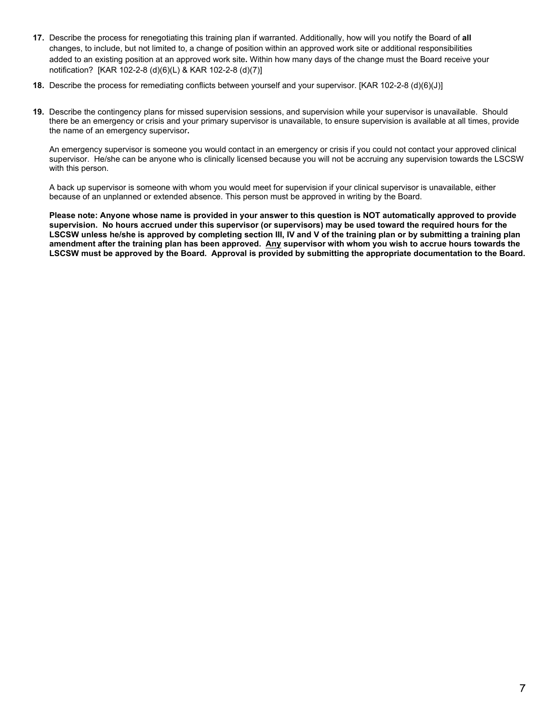- **17.** Describe the process for renegotiating this training plan if warranted. Additionally, how will you notify the Board of **all** changes, to include, but not limited to, a change of position within an approved work site or additional responsibilities added to an existing position at an approved work site**.** Within how many days of the change must the Board receive your notification? [KAR 102-2-8 (d)(6)(L) & KAR 102-2-8 (d)(7)]
- **18.** Describe the process for remediating conflicts between yourself and your supervisor. [KAR 102-2-8 (d)(6)(J)]
- **19.** Describe the contingency plans for missed supervision sessions, and supervision while your supervisor is unavailable. Should there be an emergency or crisis and your primary supervisor is unavailable, to ensure supervision is available at all times, provide the name of an emergency supervisor**.**

An emergency supervisor is someone you would contact in an emergency or crisis if you could not contact your approved clinical supervisor. He/she can be anyone who is clinically licensed because you will not be accruing any supervision towards the LSCSW with this person.

A back up supervisor is someone with whom you would meet for supervision if your clinical supervisor is unavailable, either because of an unplanned or extended absence. This person must be approved in writing by the Board.

**Please note: Anyone whose name is provided in your answer to this question is NOT automatically approved to provide supervision. No hours accrued under this supervisor (or supervisors) may be used toward the required hours for the LSCSW unless he/she is approved by completing section III, IV and V of the training plan or by submitting a training plan amendment after the training plan has been approved. Any supervisor with whom you wish to accrue hours towards the LSCSW must be approved by the Board. Approval is provided by submitting the appropriate documentation to the Board.**